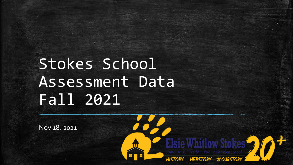# Stokes School Assessment Data Fall 2021

**HERSTORY #OURSTORY** 

Nov 18, 2021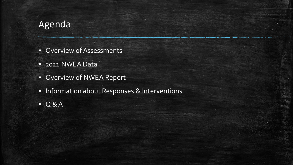#### Agenda

- Overview of Assessments
- 2021 NWEA Data
- **Overview of NWEA Report**
- **·** Information about Responses & Interventions
- $\overline{O}$  & A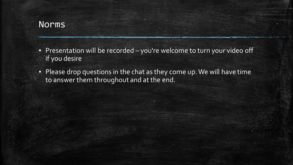#### Norms

- **Presentation will be recorded you're welcome to turn your video off** if you desire
- **Please drop questions in the chat as they come up. We will have time** to answer them throughout and at the end.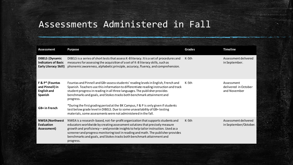## Assessments Administered in Fall

| <b>Assessment</b>                                                                    | <b>Purpose</b>                                                                                                                                                                                                                                                                                                                                                                                                                  | Grades  | <b>Timeline</b>                                    |
|--------------------------------------------------------------------------------------|---------------------------------------------------------------------------------------------------------------------------------------------------------------------------------------------------------------------------------------------------------------------------------------------------------------------------------------------------------------------------------------------------------------------------------|---------|----------------------------------------------------|
| <b>DIBELS (Dynamic</b><br><b>Indicators of Basic</b><br><b>Early Literacy Skill)</b> | DIBELS is a series of short tests that assess K-8 literacy. It is a set of procedures and<br>measures for assessing the acquisition of a set of K-8 literacy skills, such as<br>phonemic awareness, alphabetic principle, accuracy, fluency, and comprehension.                                                                                                                                                                 | $K-5th$ | Assessment delivered<br>in September.              |
| $F & P^*$ (Fountas<br>and Pinnell) in<br><b>English</b> and<br>Spanish               | Fountas and Pinnell and GB+ assess students' reading levels in English, French and<br>Spanish. Teachers use this information to differentiate reading instruction and track<br>student progress in reading in all three languages. The publisher provides<br>benchmarks and goals, and Stokes tracks both benchmark attainment and<br>progress.                                                                                 | K-5th   | Assessment<br>delivered in October<br>and November |
| GB+ in French                                                                        | *During the first grading period at the BK Campus, F & P is only given if students<br>test below grade level in DIBELS. Due to some unavailability of GB+ testing<br>materials, some assessments were not administered in the fall.                                                                                                                                                                                             |         |                                                    |
| <b>NWEA</b> (Northwest<br>Evaluation<br>Assessment)                                  | NWEA is a research-based, not-for-profit organization that supports students and<br>educators worldwide by creating assessment solutions that precisely measure<br>growth and proficiency—and provide insights to help tailor instruction. Used as a<br>screener and progress monitoring tool in reading and math. The publisher provides<br>benchmarks and goals, and Stokes tracks both benchmark attainment and<br>progress. | K-5th   | Assessment delivered<br>in September/October.      |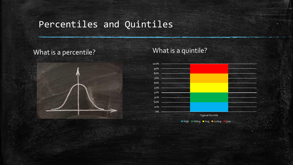#### Percentiles and Quintiles

#### What is a percentile?<br>
What is a quintile?



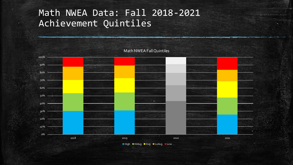#### Math NWEA Data: Fall 2018-2021 Achievement Quintiles

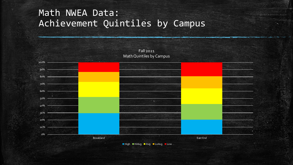#### Math NWEA Data: Achievement Quintiles by Campus

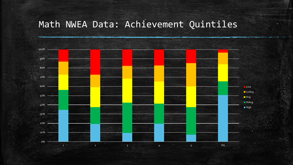#### Math NWEA Data: Achievement Quintiles

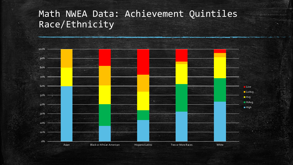#### Math NWEA Data: Achievement Quintiles Race/Ethnicity

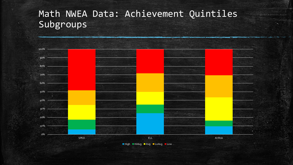#### Math NWEA Data: Achievement Quintiles Subgroups

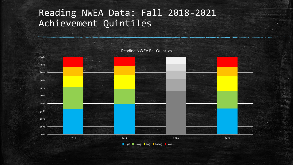#### Reading NWEA Data: Fall 2018-2021 Achievement Quintiles

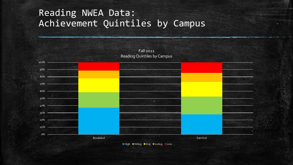#### Reading NWEA Data: Achievement Quintiles by Campus

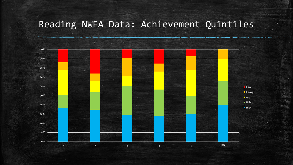## Reading NWEA Data: Achievement Quintiles

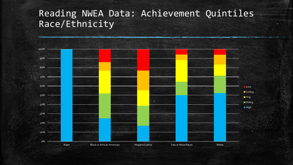#### Reading NWEA Data: Achievement Quintiles Race/Ethnicity

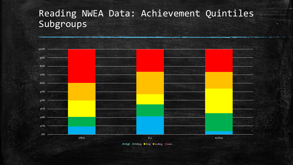#### Reading NWEA Data: Achievement Quintiles Subgroups



High HiAvg Avg LoAvg Low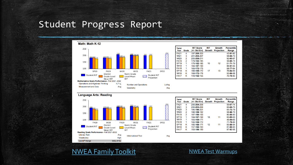#### Student Progress Report





| Term/<br>Year | Grade | <b>RIT Score</b><br>$(+/-$ Std Err) | RIT<br>Growth | Growth<br><b>Projection</b> | <b>Percentile</b><br>Range |
|---------------|-------|-------------------------------------|---------------|-----------------------------|----------------------------|
| <b>FA21</b>   | 4     | 200-204-208                         |               |                             | 59-67-74                   |
| <b>WI21</b>   | 3     | 200-203-206                         |               |                             | 60-68-75                   |
| <b>FA20</b>   | 3     | 195-198-201                         |               |                             | 65-72-79                   |
| <b>WI20</b>   | 2     | 186-189-192                         |               |                             | 58-66-73                   |
| <b>FA19</b>   | 2     | 187-190-193                         |               |                             | 80-85-90                   |
| <b>SP19</b>   | 1     | 184-187-190                         | 18            | 11                          | 83-89-93                   |
| <b>WI19</b>   | 1     | 165-168-171                         |               |                             | 46-56-66                   |
| <b>FA18</b>   | 1     | 166-169-172                         |               |                             | 71-79-86                   |
| <b>SP18</b>   | κ     | 165-168-171                         | 12            | 11                          | 83-89-94                   |
| <b>WI18</b>   | ĸ     | 157-160-163                         |               |                             | 81-88-93                   |
| <b>FA17</b>   | ĸ     | 153-156-159                         |               |                             | 87-92-95                   |

#### NWEA Family Toolkit Number 2012 NWEA Test Warmups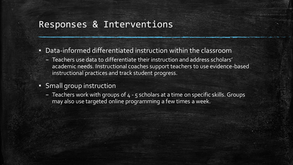#### Responses & Interventions

- Data-informed differentiated instruction within the classroom
	- Teachers use data to differentiate their instruction and address scholars' academic needs. Instructional coaches support teachers to use evidence-based instructional practices and track student progress.
- **·** Small group instruction
	- Teachers work with groups of 4 5 scholars at a time on specific skills. Groups may also use targeted online programming a few times a week.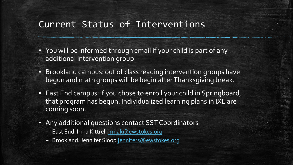#### Current Status of Interventions

- You will be informed through email if your child is part of any additional intervention group
- **EXEL Brookland campus: out of class reading intervention groups have** begun and math groups will be begin after Thanksgiving break.
- **East End campus: if you chose to enroll your child in Springboard,** that program has begun. Individualized learning plans in IXL are coming soon.
- **Any additional questions contact SST Coordinators** 
	- East End: Irma Kittrell irmak@ewstokes.org
	- Brookland: Jennifer Sloop jennifers@ewstokes.org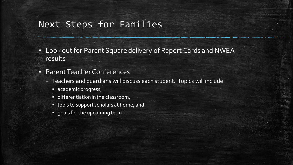#### Next Steps for Families

- **Example 1** Look out for Parent Square delivery of Report Cards and NWEA results
- Parent Teacher Conferences
	- Teachers and guardians will discuss each student. Topics will include
		- academic progress,
		- differentiation in the classroom,
		- tools to support scholars at home, and
		- goals for the upcoming term.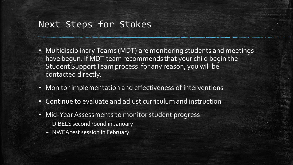#### Next Steps for Stokes

- **Multidisciplinary Teams (MDT) are monitoring students and meetings** have begun. If MDT team recommends that your child begin the Student Support Team process for any reason, you will be contacted directly.
- **Monitor implementation and effectiveness of interventions**
- **Continue to evaluate and adjust curriculum and instruction**
- **· Mid-Year Assessments to monitor student progress** 
	- DIBELS second round in January
	- NWEA test session in February